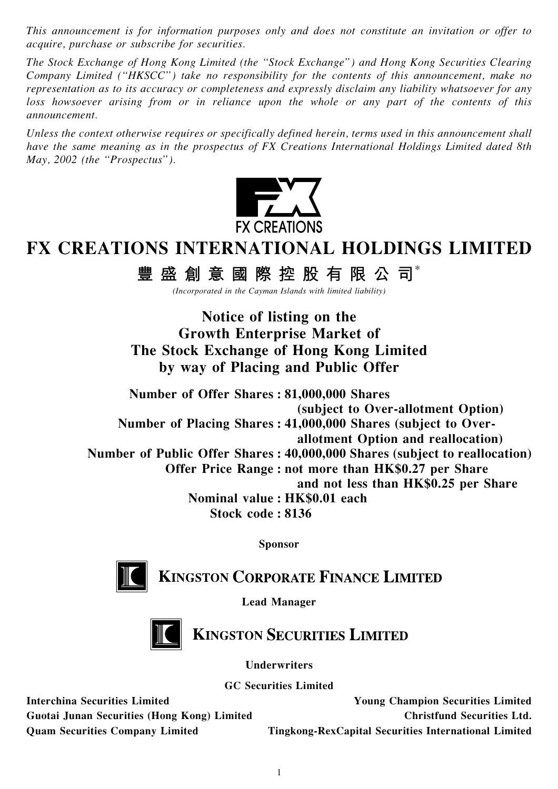This announcement is for information purposes only and does not constitute an invitation or offer to acquire, purchase or subscribe for securities.

The Stock Exchange of Hong Kong Limited (the ''Stock Exchange'') and Hong Kong Securities Clearing Company Limited (''HKSCC'') take no responsibility for the contents of this announcement, make no representation as to its accuracy or completeness and expressly disclaim any liability whatsoever for any loss howsoever arising from or in reliance upon the whole or any part of the contents of this announcement.

Unless the context otherwise requires or specifically defined herein, terms used in this announcement shall have the same meaning as in the prospectus of FX Creations International Holdings Limited dated 8th May, 2002 (the "Prospectus").



## FX CREATIONS INTERNATIONAL HOLDINGS LIMITED

豐 盛 創 意 國 際 控 股 有 限 公 司 $^{\ast}$ 

(Incorporated in the Cayman Islands with limited liability)

Notice of listing on the Growth Enterprise Market of The Stock Exchange of Hong Kong Limited by way of Placing and Public Offer

Number of Offer Shares : 81,000,000 Shares (subject to Over-allotment Option) Number of Placing Shares : 41,000,000 Shares (subject to Overallotment Option and reallocation) Number of Public Offer Shares : 40,000,000 Shares (subject to reallocation) Offer Price Range : not more than HK\$0.27 per Share and not less than HK\$0.25 per Share Nominal value : HK\$0.01 each Stock code : 8136

Sponsor



**KINGSTON CORPORATE FINANCE LIMITED** 

Lead Manager



**KINGSTON SECURITIES LIMITED** 

Underwriters

GC Securities Limited

Interchina Securities Limited Young Champion Securities Limited Guotai Junan Securities (Hong Kong) Limited Christfund Securities Ltd. Quam Securities Company Limited Tingkong-RexCapital Securities International Limited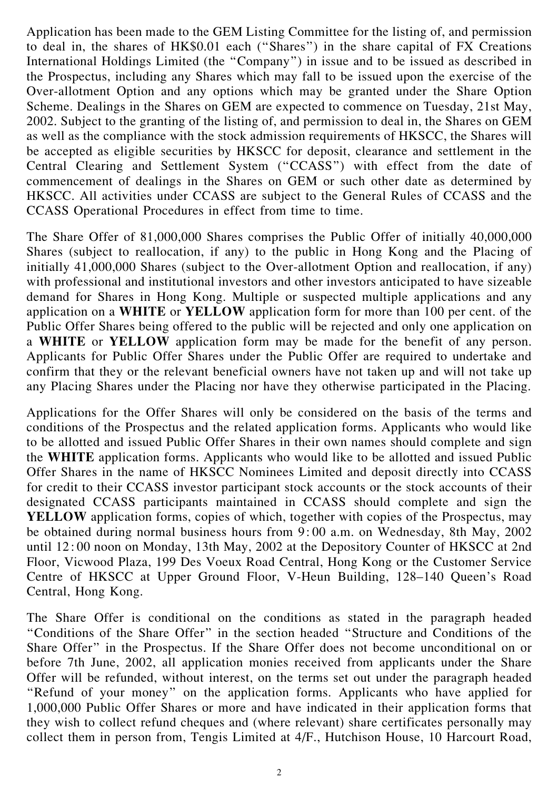Application has been made to the GEM Listing Committee for the listing of, and permission to deal in, the shares of HK\$0.01 each (''Shares'') in the share capital of FX Creations International Holdings Limited (the ''Company'') in issue and to be issued as described in the Prospectus, including any Shares which may fall to be issued upon the exercise of the Over-allotment Option and any options which may be granted under the Share Option Scheme. Dealings in the Shares on GEM are expected to commence on Tuesday, 21st May, 2002. Subject to the granting of the listing of, and permission to deal in, the Shares on GEM as well as the compliance with the stock admission requirements of HKSCC, the Shares will be accepted as eligible securities by HKSCC for deposit, clearance and settlement in the Central Clearing and Settlement System ("CCASS") with effect from the date of commencement of dealings in the Shares on GEM or such other date as determined by HKSCC. All activities under CCASS are subject to the General Rules of CCASS and the CCASS Operational Procedures in effect from time to time.

The Share Offer of 81,000,000 Shares comprises the Public Offer of initially 40,000,000 Shares (subject to reallocation, if any) to the public in Hong Kong and the Placing of initially 41,000,000 Shares (subject to the Over-allotment Option and reallocation, if any) with professional and institutional investors and other investors anticipated to have sizeable demand for Shares in Hong Kong. Multiple or suspected multiple applications and any application on a WHITE or YELLOW application form for more than 100 per cent. of the Public Offer Shares being offered to the public will be rejected and only one application on a WHITE or YELLOW application form may be made for the benefit of any person. Applicants for Public Offer Shares under the Public Offer are required to undertake and confirm that they or the relevant beneficial owners have not taken up and will not take up any Placing Shares under the Placing nor have they otherwise participated in the Placing.

Applications for the Offer Shares will only be considered on the basis of the terms and conditions of the Prospectus and the related application forms. Applicants who would like to be allotted and issued Public Offer Shares in their own names should complete and sign the WHITE application forms. Applicants who would like to be allotted and issued Public Offer Shares in the name of HKSCC Nominees Limited and deposit directly into CCASS for credit to their CCASS investor participant stock accounts or the stock accounts of their designated CCASS participants maintained in CCASS should complete and sign the YELLOW application forms, copies of which, together with copies of the Prospectus, may be obtained during normal business hours from 9: 00 a.m. on Wednesday, 8th May, 2002 until 12: 00 noon on Monday, 13th May, 2002 at the Depository Counter of HKSCC at 2nd Floor, Vicwood Plaza, 199 Des Voeux Road Central, Hong Kong or the Customer Service Centre of HKSCC at Upper Ground Floor, V-Heun Building, 128–140 Queen's Road Central, Hong Kong.

The Share Offer is conditional on the conditions as stated in the paragraph headed ''Conditions of the Share Offer'' in the section headed ''Structure and Conditions of the Share Offer'' in the Prospectus. If the Share Offer does not become unconditional on or before 7th June, 2002, all application monies received from applicants under the Share Offer will be refunded, without interest, on the terms set out under the paragraph headed ''Refund of your money'' on the application forms. Applicants who have applied for 1,000,000 Public Offer Shares or more and have indicated in their application forms that they wish to collect refund cheques and (where relevant) share certificates personally may collect them in person from, Tengis Limited at 4/F., Hutchison House, 10 Harcourt Road,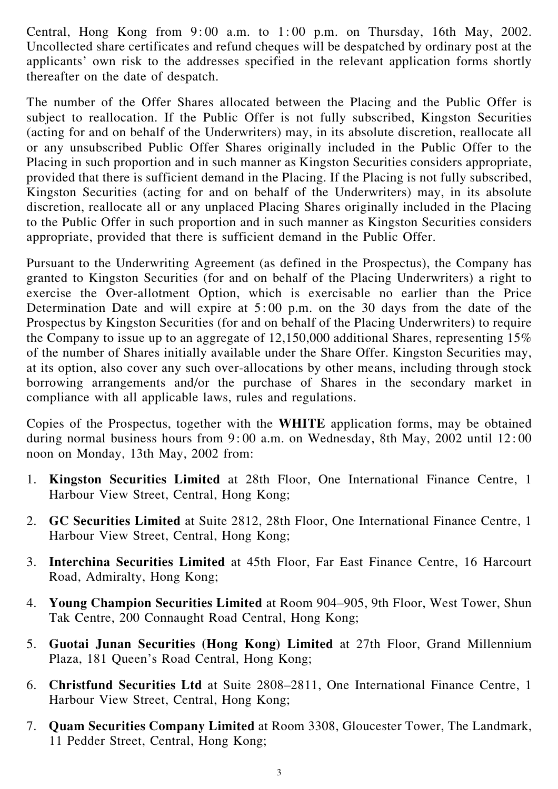Central, Hong Kong from  $9:00$  a.m. to  $1:00$  p.m. on Thursday, 16th May, 2002. Uncollected share certificates and refund cheques will be despatched by ordinary post at the applicants' own risk to the addresses specified in the relevant application forms shortly thereafter on the date of despatch.

The number of the Offer Shares allocated between the Placing and the Public Offer is subject to reallocation. If the Public Offer is not fully subscribed, Kingston Securities (acting for and on behalf of the Underwriters) may, in its absolute discretion, reallocate all or any unsubscribed Public Offer Shares originally included in the Public Offer to the Placing in such proportion and in such manner as Kingston Securities considers appropriate, provided that there is sufficient demand in the Placing. If the Placing is not fully subscribed, Kingston Securities (acting for and on behalf of the Underwriters) may, in its absolute discretion, reallocate all or any unplaced Placing Shares originally included in the Placing to the Public Offer in such proportion and in such manner as Kingston Securities considers appropriate, provided that there is sufficient demand in the Public Offer.

Pursuant to the Underwriting Agreement (as defined in the Prospectus), the Company has granted to Kingston Securities (for and on behalf of the Placing Underwriters) a right to exercise the Over-allotment Option, which is exercisable no earlier than the Price Determination Date and will expire at 5: 00 p.m. on the 30 days from the date of the Prospectus by Kingston Securities (for and on behalf of the Placing Underwriters) to require the Company to issue up to an aggregate of 12,150,000 additional Shares, representing 15% of the number of Shares initially available under the Share Offer. Kingston Securities may, at its option, also cover any such over-allocations by other means, including through stock borrowing arrangements and/or the purchase of Shares in the secondary market in compliance with all applicable laws, rules and regulations.

Copies of the Prospectus, together with the WHITE application forms, may be obtained during normal business hours from 9: 00 a.m. on Wednesday, 8th May, 2002 until 12: 00 noon on Monday, 13th May, 2002 from:

- 1. Kingston Securities Limited at 28th Floor, One International Finance Centre, 1 Harbour View Street, Central, Hong Kong;
- 2. GC Securities Limited at Suite 2812, 28th Floor, One International Finance Centre, 1 Harbour View Street, Central, Hong Kong;
- 3. Interchina Securities Limited at 45th Floor, Far East Finance Centre, 16 Harcourt Road, Admiralty, Hong Kong;
- 4. Young Champion Securities Limited at Room 904–905, 9th Floor, West Tower, Shun Tak Centre, 200 Connaught Road Central, Hong Kong;
- 5. Guotai Junan Securities (Hong Kong) Limited at 27th Floor, Grand Millennium Plaza, 181 Queen's Road Central, Hong Kong;
- 6. Christfund Securities Ltd at Suite 2808–2811, One International Finance Centre, 1 Harbour View Street, Central, Hong Kong;
- 7. Quam Securities Company Limited at Room 3308, Gloucester Tower, The Landmark, 11 Pedder Street, Central, Hong Kong;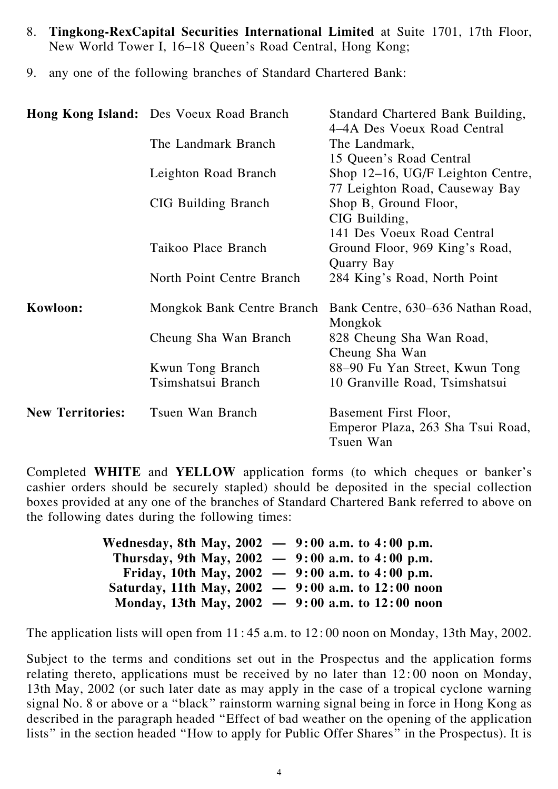- 8. Tingkong-RexCapital Securities International Limited at Suite 1701, 17th Floor, New World Tower I, 16–18 Queen's Road Central, Hong Kong;
- 9. any one of the following branches of Standard Chartered Bank:

|                         | <b>Hong Kong Island:</b> Des Voeux Road Branch | Standard Chartered Bank Building,<br>4–4A Des Voeux Road Central |
|-------------------------|------------------------------------------------|------------------------------------------------------------------|
|                         | The Landmark Branch                            | The Landmark,                                                    |
|                         |                                                | 15 Queen's Road Central                                          |
|                         | Leighton Road Branch                           | Shop 12–16, UG/F Leighton Centre,                                |
|                         |                                                | 77 Leighton Road, Causeway Bay                                   |
|                         | <b>CIG Building Branch</b>                     | Shop B, Ground Floor,                                            |
|                         |                                                | CIG Building,                                                    |
|                         |                                                | 141 Des Voeux Road Central                                       |
|                         | Taikoo Place Branch                            | Ground Floor, 969 King's Road,                                   |
|                         |                                                | Quarry Bay                                                       |
|                         | North Point Centre Branch                      | 284 King's Road, North Point                                     |
| Kowloon:                | Mongkok Bank Centre Branch                     | Bank Centre, 630–636 Nathan Road,<br>Mongkok                     |
|                         | Cheung Sha Wan Branch                          | 828 Cheung Sha Wan Road,                                         |
|                         |                                                | Cheung Sha Wan                                                   |
|                         | Kwun Tong Branch                               | 88–90 Fu Yan Street, Kwun Tong                                   |
|                         | Tsimshatsui Branch                             | 10 Granville Road, Tsimshatsui                                   |
| <b>New Territories:</b> | Tsuen Wan Branch                               | Basement First Floor,                                            |
|                         |                                                | Emperor Plaza, 263 Sha Tsui Road,<br>Tsuen Wan                   |

Completed WHITE and YELLOW application forms (to which cheques or banker's cashier orders should be securely stapled) should be deposited in the special collection boxes provided at any one of the branches of Standard Chartered Bank referred to above on the following dates during the following times:

| Wednesday, 8th May, 2002 $-$ 9:00 a.m. to 4:00 p.m.    |  |
|--------------------------------------------------------|--|
| Thursday, 9th May, 2002 $-$ 9:00 a.m. to 4:00 p.m.     |  |
| Friday, 10th May, 2002 $-$ 9:00 a.m. to 4:00 p.m.      |  |
| Saturday, 11th May, $2002 - 9:00$ a.m. to $12:00$ noon |  |
| Monday, 13th May, $2002 - 9:00$ a.m. to $12:00$ noon   |  |

The application lists will open from 11: 45 a.m. to 12: 00 noon on Monday, 13th May, 2002.

Subject to the terms and conditions set out in the Prospectus and the application forms relating thereto, applications must be received by no later than 12: 00 noon on Monday, 13th May, 2002 (or such later date as may apply in the case of a tropical cyclone warning signal No. 8 or above or a ''black'' rainstorm warning signal being in force in Hong Kong as described in the paragraph headed ''Effect of bad weather on the opening of the application lists'' in the section headed ''How to apply for Public Offer Shares'' in the Prospectus). It is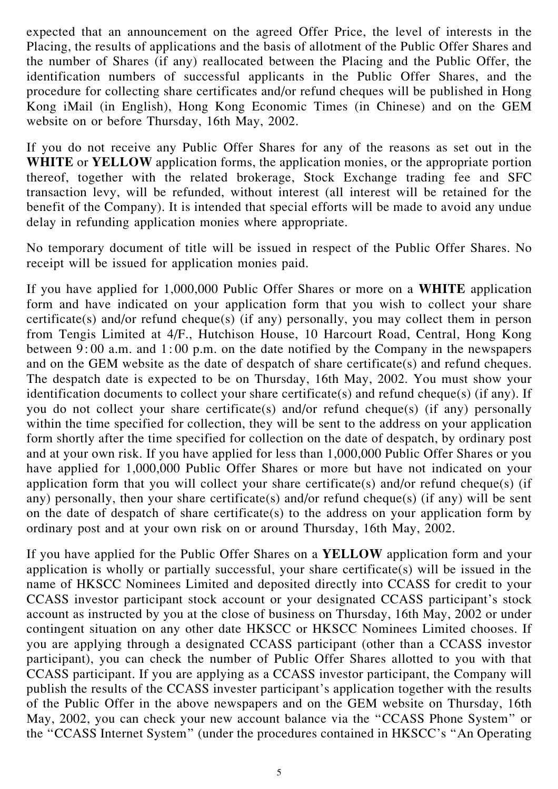expected that an announcement on the agreed Offer Price, the level of interests in the Placing, the results of applications and the basis of allotment of the Public Offer Shares and the number of Shares (if any) reallocated between the Placing and the Public Offer, the identification numbers of successful applicants in the Public Offer Shares, and the procedure for collecting share certificates and/or refund cheques will be published in Hong Kong iMail (in English), Hong Kong Economic Times (in Chinese) and on the GEM website on or before Thursday, 16th May, 2002.

If you do not receive any Public Offer Shares for any of the reasons as set out in the WHITE or YELLOW application forms, the application monies, or the appropriate portion thereof, together with the related brokerage, Stock Exchange trading fee and SFC transaction levy, will be refunded, without interest (all interest will be retained for the benefit of the Company). It is intended that special efforts will be made to avoid any undue delay in refunding application monies where appropriate.

No temporary document of title will be issued in respect of the Public Offer Shares. No receipt will be issued for application monies paid.

If you have applied for 1,000,000 Public Offer Shares or more on a WHITE application form and have indicated on your application form that you wish to collect your share certificate(s) and/or refund cheque(s) (if any) personally, you may collect them in person from Tengis Limited at 4/F., Hutchison House, 10 Harcourt Road, Central, Hong Kong between 9: 00 a.m. and 1: 00 p.m. on the date notified by the Company in the newspapers and on the GEM website as the date of despatch of share certificate(s) and refund cheques. The despatch date is expected to be on Thursday, 16th May, 2002. You must show your identification documents to collect your share certificate(s) and refund cheque(s) (if any). If you do not collect your share certificate(s) and/or refund cheque(s) (if any) personally within the time specified for collection, they will be sent to the address on your application form shortly after the time specified for collection on the date of despatch, by ordinary post and at your own risk. If you have applied for less than 1,000,000 Public Offer Shares or you have applied for 1,000,000 Public Offer Shares or more but have not indicated on your application form that you will collect your share certificate(s) and/or refund cheque(s) (if any) personally, then your share certificate(s) and/or refund cheque(s) (if any) will be sent on the date of despatch of share certificate(s) to the address on your application form by ordinary post and at your own risk on or around Thursday, 16th May, 2002.

If you have applied for the Public Offer Shares on a YELLOW application form and your application is wholly or partially successful, your share certificate(s) will be issued in the name of HKSCC Nominees Limited and deposited directly into CCASS for credit to your CCASS investor participant stock account or your designated CCASS participant's stock account as instructed by you at the close of business on Thursday, 16th May, 2002 or under contingent situation on any other date HKSCC or HKSCC Nominees Limited chooses. If you are applying through a designated CCASS participant (other than a CCASS investor participant), you can check the number of Public Offer Shares allotted to you with that CCASS participant. If you are applying as a CCASS investor participant, the Company will publish the results of the CCASS invester participant's application together with the results of the Public Offer in the above newspapers and on the GEM website on Thursday, 16th May, 2002, you can check your new account balance via the ''CCASS Phone System'' or the ''CCASS Internet System'' (under the procedures contained in HKSCC's ''An Operating